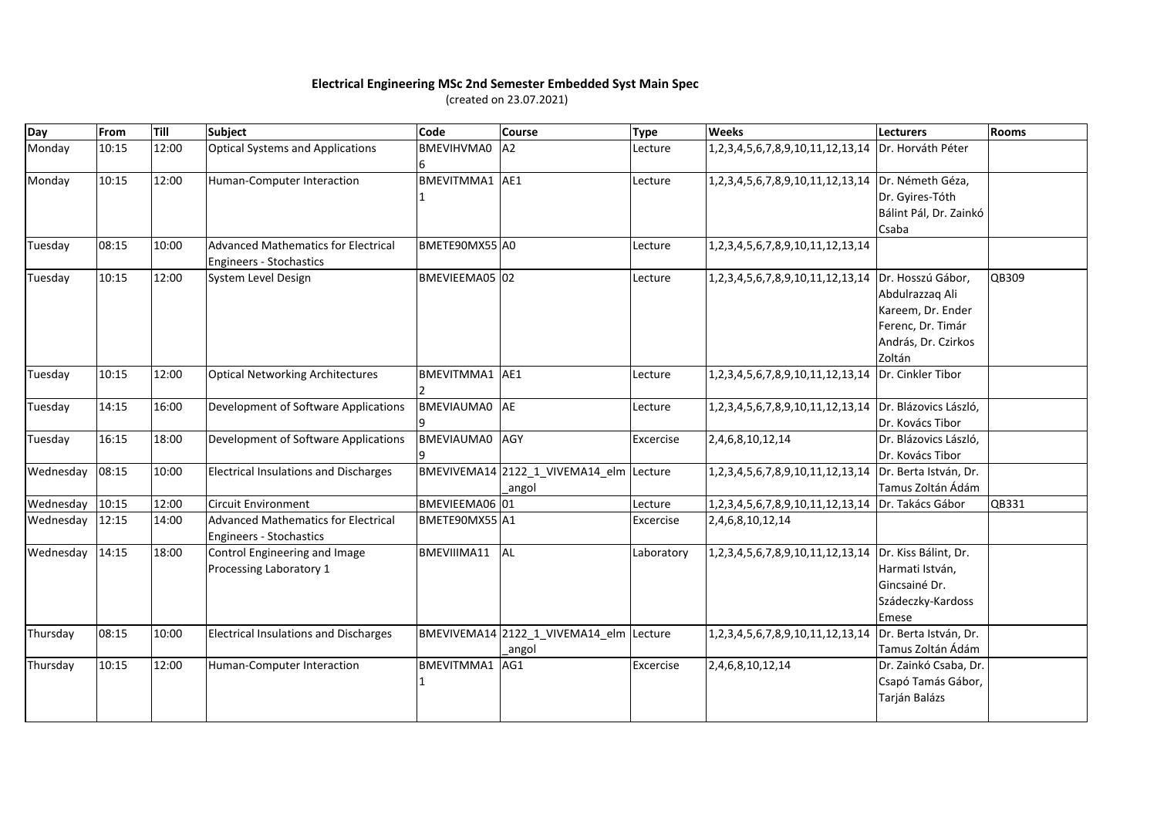## **Electrical Engineering MSc 2nd Semester Embedded Syst Main Spec**

(created on 23.07.2021)

| Day       | From  | Till  | Subject                                      | Code              | <b>Course</b>                           | <b>Type</b> | <b>Weeks</b>                                           | Lecturers              | Rooms |
|-----------|-------|-------|----------------------------------------------|-------------------|-----------------------------------------|-------------|--------------------------------------------------------|------------------------|-------|
| Monday    | 10:15 | 12:00 | <b>Optical Systems and Applications</b>      | BMEVIHVMA0        | A <sub>2</sub>                          | Lecture     | 1,2,3,4,5,6,7,8,9,10,11,12,13,14 Dr. Horváth Péter     |                        |       |
| Monday    | 10:15 | 12:00 | Human-Computer Interaction                   | BMEVITMMA1 AE1    |                                         | Lecture     | 1,2,3,4,5,6,7,8,9,10,11,12,13,14 Dr. Németh Géza,      |                        |       |
|           |       |       |                                              |                   |                                         |             |                                                        | Dr. Gyires-Tóth        |       |
|           |       |       |                                              |                   |                                         |             |                                                        | Bálint Pál, Dr. Zainkó |       |
|           |       |       |                                              |                   |                                         |             |                                                        | Csaba                  |       |
| Tuesday   | 08:15 | 10:00 | <b>Advanced Mathematics for Electrical</b>   | BMETE90MX55 A0    |                                         | Lecture     | 1, 2, 3, 4, 5, 6, 7, 8, 9, 10, 11, 12, 13, 14          |                        |       |
|           |       |       | <b>Engineers - Stochastics</b>               |                   |                                         |             |                                                        |                        |       |
| Tuesday   | 10:15 | 12:00 | System Level Design                          | BMEVIEEMA05 02    |                                         | Lecture     | 1,2,3,4,5,6,7,8,9,10,11,12,13,14 Dr. Hosszú Gábor,     |                        | QB309 |
|           |       |       |                                              |                   |                                         |             |                                                        | Abdulrazzaq Ali        |       |
|           |       |       |                                              |                   |                                         |             |                                                        | Kareem, Dr. Ender      |       |
|           |       |       |                                              |                   |                                         |             |                                                        | Ferenc, Dr. Timár      |       |
|           |       |       |                                              |                   |                                         |             |                                                        | András, Dr. Czirkos    |       |
|           |       |       |                                              |                   |                                         |             |                                                        | Zoltán                 |       |
| Tuesday   | 10:15 | 12:00 | <b>Optical Networking Architectures</b>      | BMEVITMMA1 AE1    |                                         | Lecture     | 1,2,3,4,5,6,7,8,9,10,11,12,13,14 Dr. Cinkler Tibor     |                        |       |
| Tuesday   | 14:15 | 16:00 | Development of Software Applications         | BMEVIAUMA0 AE     |                                         | Lecture     | 1,2,3,4,5,6,7,8,9,10,11,12,13,14 Dr. Blázovics László, |                        |       |
|           |       |       |                                              |                   |                                         |             |                                                        | Dr. Kovács Tibor       |       |
| Tuesday   | 16:15 | 18:00 | Development of Software Applications         | <b>BMEVIAUMA0</b> | AGY                                     | Excercise   | 2,4,6,8,10,12,14                                       | Dr. Blázovics László,  |       |
|           |       |       |                                              |                   |                                         |             |                                                        | Dr. Kovács Tibor       |       |
| Wednesday | 08:15 | 10:00 | <b>Electrical Insulations and Discharges</b> |                   | BMEVIVEMA14 2122_1_VIVEMA14_elm Lecture |             | 1,2,3,4,5,6,7,8,9,10,11,12,13,14 Dr. Berta István, Dr. |                        |       |
|           |       |       |                                              |                   | _angol                                  |             |                                                        | Tamus Zoltán Ádám      |       |
| Wednesday | 10:15 | 12:00 | <b>Circuit Environment</b>                   | BMEVIEEMA06 01    |                                         | Lecture     | 1,2,3,4,5,6,7,8,9,10,11,12,13,14 Dr. Takács Gábor      |                        | QB331 |
| Wednesday | 12:15 | 14:00 | <b>Advanced Mathematics for Electrical</b>   | BMETE90MX55 A1    |                                         | Excercise   | 2,4,6,8,10,12,14                                       |                        |       |
|           |       |       | Engineers - Stochastics                      |                   |                                         |             |                                                        |                        |       |
| Wednesday | 14:15 | 18:00 | Control Engineering and Image                | BMEVIIIMA11       | <b>AL</b>                               | Laboratory  | 1,2,3,4,5,6,7,8,9,10,11,12,13,14 Dr. Kiss Bálint, Dr.  |                        |       |
|           |       |       | Processing Laboratory 1                      |                   |                                         |             |                                                        | Harmati István,        |       |
|           |       |       |                                              |                   |                                         |             |                                                        | Gincsainé Dr.          |       |
|           |       |       |                                              |                   |                                         |             |                                                        | Szádeczky-Kardoss      |       |
|           |       |       |                                              |                   |                                         |             |                                                        | Emese                  |       |
| Thursday  | 08:15 | 10:00 | <b>Electrical Insulations and Discharges</b> |                   | BMEVIVEMA14 2122 1 VIVEMA14 elm Lecture |             | 1,2,3,4,5,6,7,8,9,10,11,12,13,14 Dr. Berta István, Dr. |                        |       |
|           |       |       |                                              |                   | _angol                                  |             |                                                        | Tamus Zoltán Ádám      |       |
| Thursday  | 10:15 | 12:00 | Human-Computer Interaction                   | BMEVITMMA1        | AG1                                     | Excercise   | 2,4,6,8,10,12,14                                       | Dr. Zainkó Csaba, Dr.  |       |
|           |       |       |                                              |                   |                                         |             |                                                        | Csapó Tamás Gábor,     |       |
|           |       |       |                                              |                   |                                         |             |                                                        | Tarján Balázs          |       |
|           |       |       |                                              |                   |                                         |             |                                                        |                        |       |